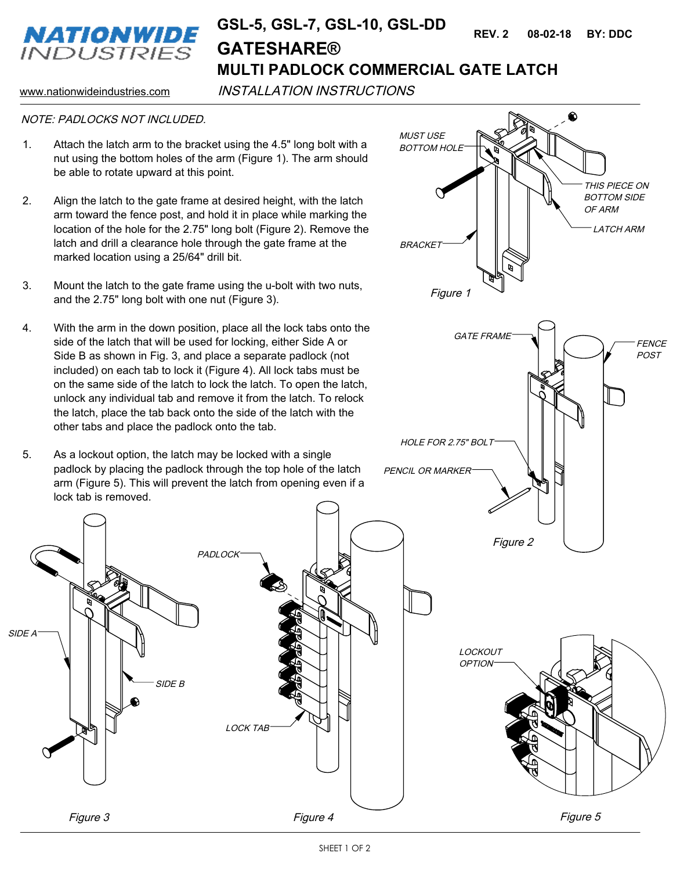

## **MULTI PADLOCK COMMERCIAL GATE LATCH GSL-5, GSL-7, GSL-10, GSL-DD 08-02-18 BY: DDC REV. 2 GATESHARE®**

www.nationwideindustries.com INSTALLATION INSTRUCTIONS

## NOTE: PADLOCKS NOT INCLUDED.

- 1. Attach the latch arm to the bracket using the 4.5" long bolt with a nut using the bottom holes of the arm (Figure 1). The arm should be able to rotate upward at this point.
- 2. Align the latch to the gate frame at desired height, with the latch arm toward the fence post, and hold it in place while marking the location of the hole for the 2.75" long bolt (Figure 2). Remove the latch and drill a clearance hole through the gate frame at the marked location using a 25/64" drill bit.
- 3. Mount the latch to the gate frame using the u-bolt with two nuts, and the 2.75" long bolt with one nut (Figure 3).
- 4. With the arm in the down position, place all the lock tabs onto the side of the latch that will be used for locking, either Side A or Side B as shown in Fig. 3, and place a separate padlock (not included) on each tab to lock it (Figure 4). All lock tabs must be on the same side of the latch to lock the latch. To open the latch, unlock any individual tab and remove it from the latch. To relock the latch, place the tab back onto the side of the latch with the other tabs and place the padlock onto the tab.
- 5. As a lockout option, the latch may be locked with a single padlock by placing the padlock through the top hole of the latch arm (Figure 5). This will prevent the latch from opening even if a lock tab is removed.